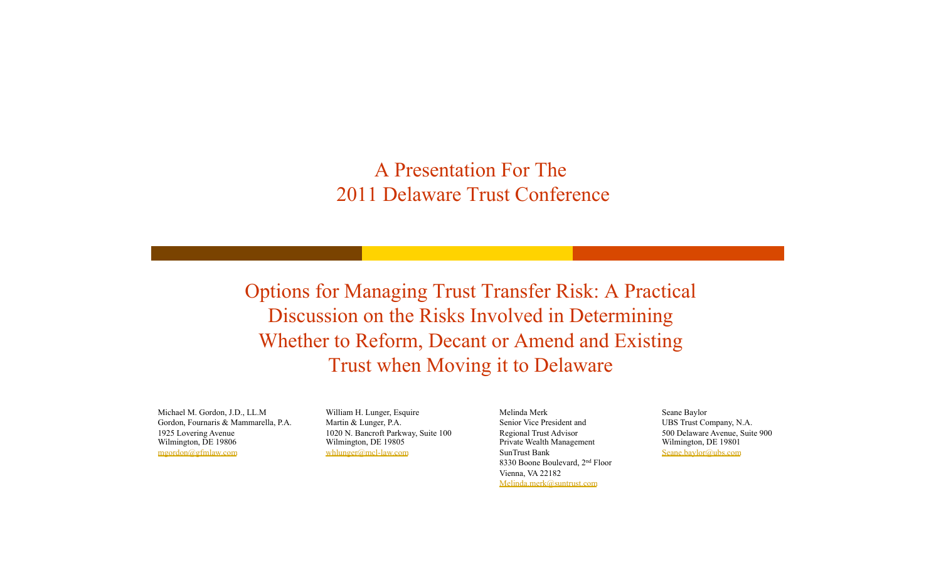#### A Presentation For The 2011 Delaware Trust Conference

Options for Managing Trust Transfer Risk: A Practical Discussion on the Risks Involved in Determining Whether to Reform, Decant or Amend and Existing Trust when Moving it to Delaware

Michael M. Gordon, J.D., LL.M Gordon, Fournaris & Mammarella, P.A. 1925 Lovering Avenue Wilmington, DE 19806 mgordon@gfmlaw.com

William H. Lunger, Esquire Martin & Lunger, P.A. 1020 N. Bancroft Parkway, Suite 100 Wilmington, DE 19805 whlunger@mcl-law.com

Melinda Merk Senior Vice President and Regional Trust Advisor Private Wealth Management SunTrust Bank 8330 Boone Boulevard, 2nd Floor Vienna, VA 22182 Melinda.merk@suntrust.com

Seane Baylor

UBS Trust Company, N.A. 500 Delaware Avenue, Suite 900 Wilmington, DE 19801 Seane.baylor@ubs.com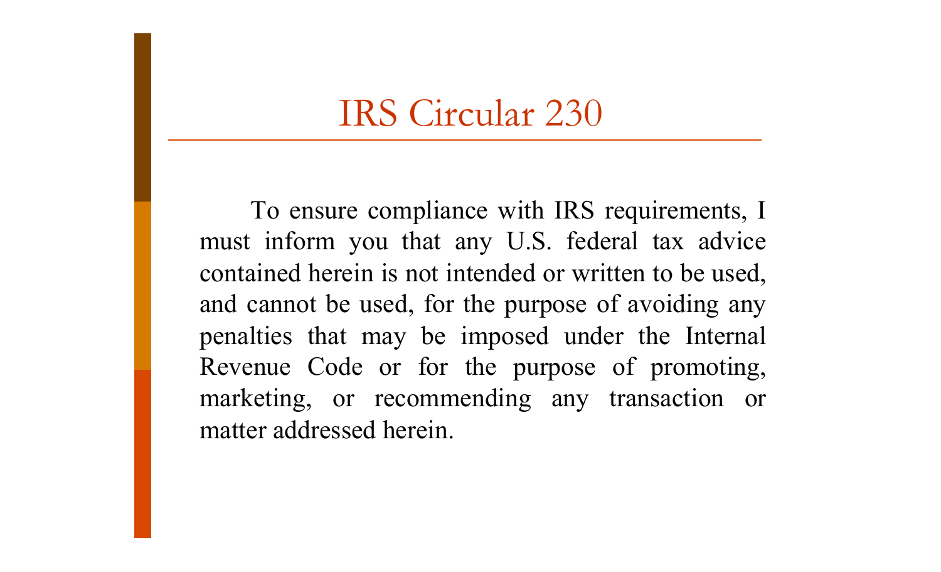#### IRS Circular 230

To ensure compliance with IRS requirements, I must inform you that any U.S. federal tax advice contained herein is not intended or written to be used, and cannot be used, for the purpose of avoiding any penalties that may be imposed under the Internal Revenue Code or for the purpose of promoting, marketing, or recommending any transaction or matter addressed herein.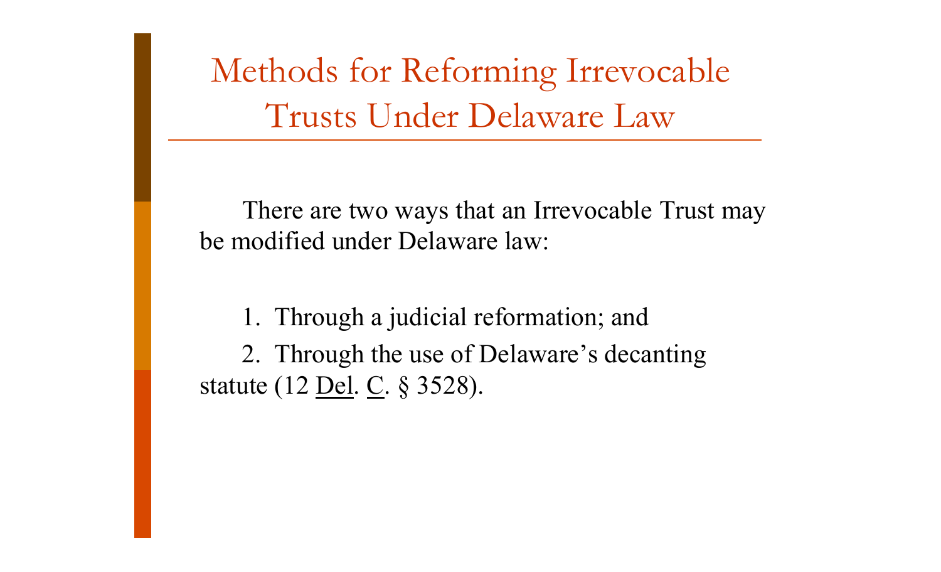Methods for Reforming Irrevocable Trusts Under Delaware Law

There are two ways that an Irrevocable Trust may be modified under Delaware law:

1. Through a judicial reformation; and 2. Through the use of Delaware's decanting statute (12 <u>Del</u>. C. § 3528).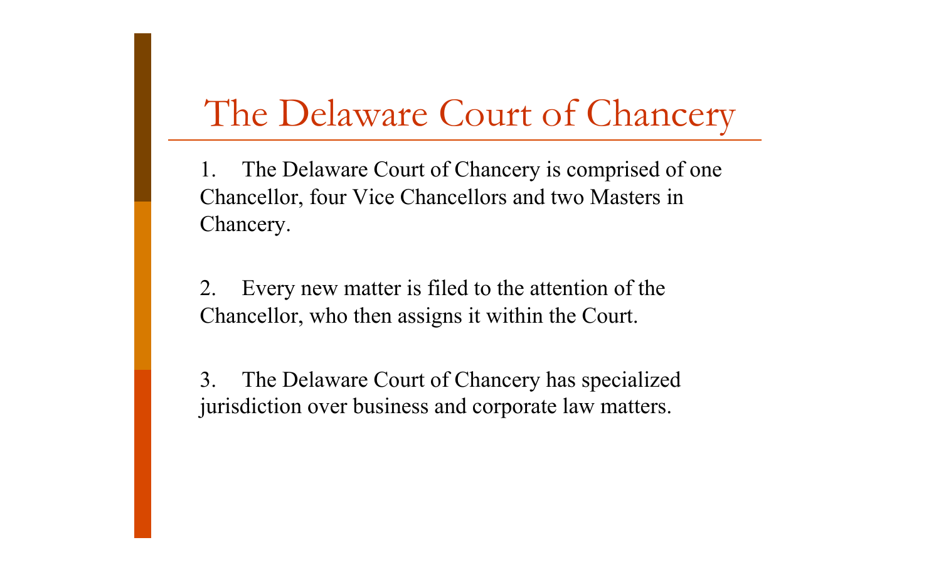#### The Delaware Court of Chancery

The Delaware Court of Chancery is comprised of one Chancellor, four Vice Chancellors and two Masters in Chancery.

2. Every new matter is filed to the attention of the Chancellor, who then assigns it within the Court.

3. The Delaware Court of Chancery has specialized jurisdiction over business and corporate law matters.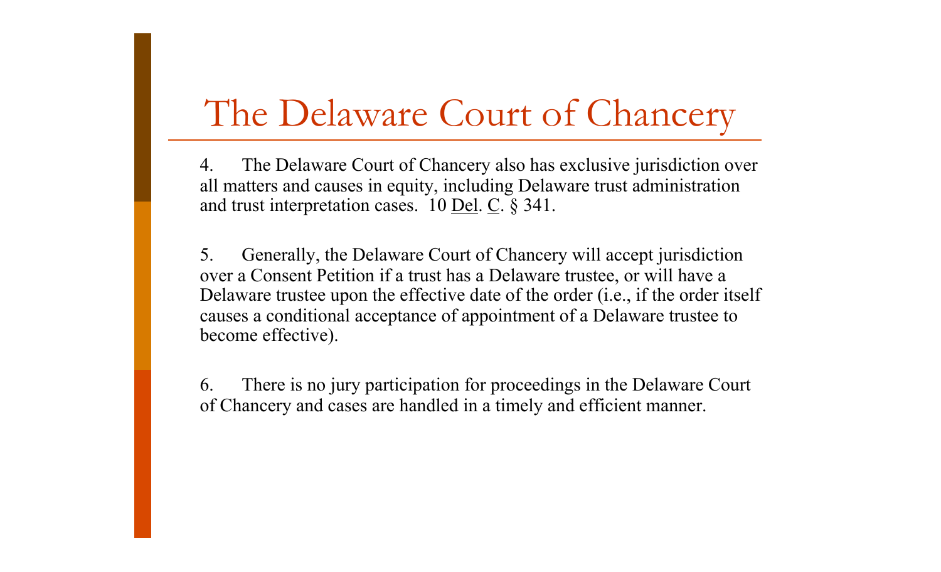#### The Delaware Court of Chancery

4. The Delaware Court of Chancery also has exclusive jurisdiction over all matters and causes in equity, including Delaware trust administration and trust interpretation cases.  $10$  <u>Del</u>. C.  $\S$  341.

5. Generally, the Delaware Court of Chancery will accept jurisdiction over a Consent Petition if a trust has a Delaware trustee, or will have a Delaware trustee upon the effective date of the order (i.e., if the order itself causes a conditional acceptance of appointment of a Delaware trustee to become effective).

6. There is no jury participation for proceedings in the Delaware Court of Chancery and cases are handled in a timely and efficient manner.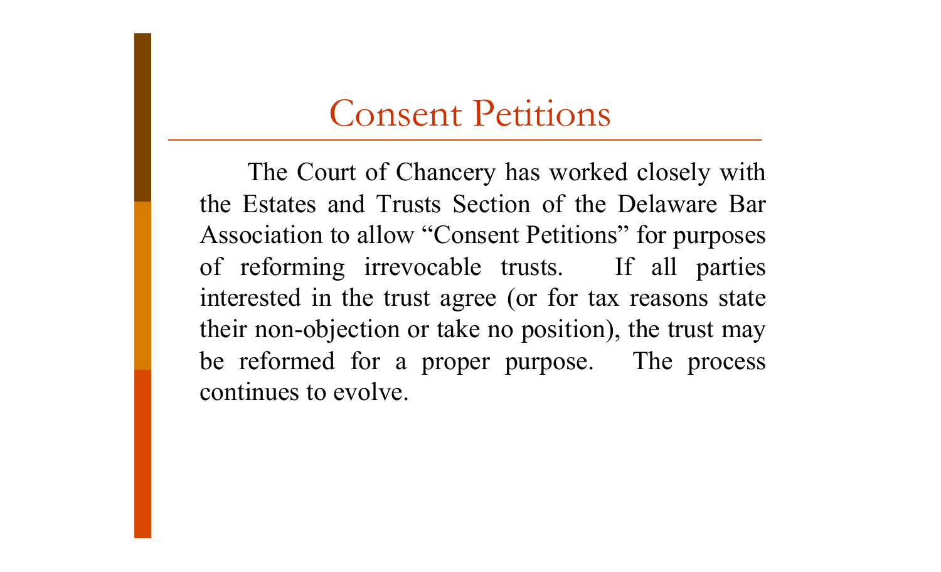#### Consent Petitions

The Court of Chancery has worked closely with the Estates and Trusts Section of the Delaware Bar Association to allow "Consent Petitions" for purposes of reforming irrevocable trusts. If all parties interested in the trust agree (or for tax reasons state their non-objection or take no position), the trust may be reformed for a proper purpose. The process continues to evolve.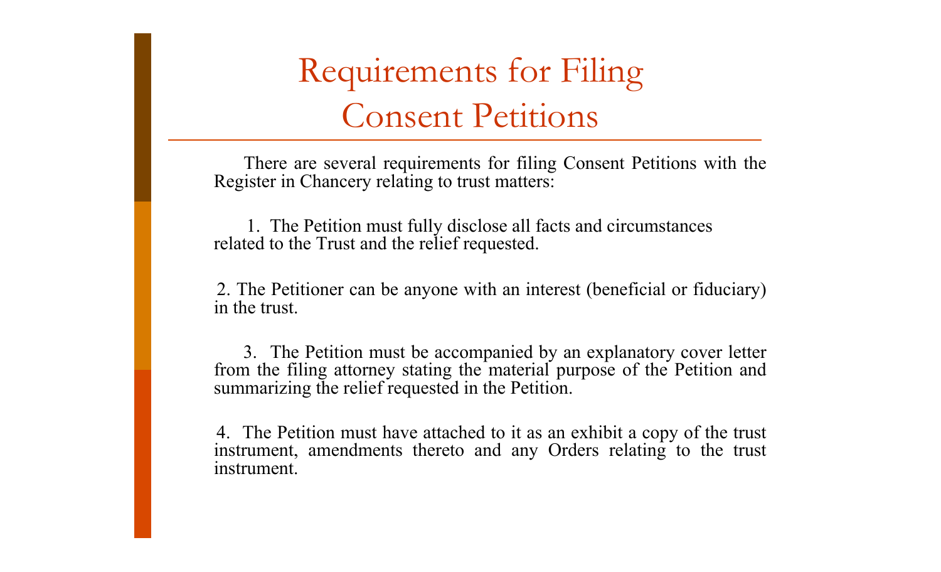There are several requirements for filing Consent Petitions with the Register in Chancery relating to trust matters:

 1. The Petition must fully disclose all facts and circumstances related to the Trust and the relief requested.

2. The Petitioner can be anyone with an interest (beneficial or fiduciary) in the trust.

3. The Petition must be accompanied by an explanatory cover letter from the filing attorney stating the material purpose of the Petition and summarizing the relief requested in the Petition.

4. The Petition must have attached to it as an exhibit a copy of the trust instrument, amendments thereto and any Orders relating to the trust instrument.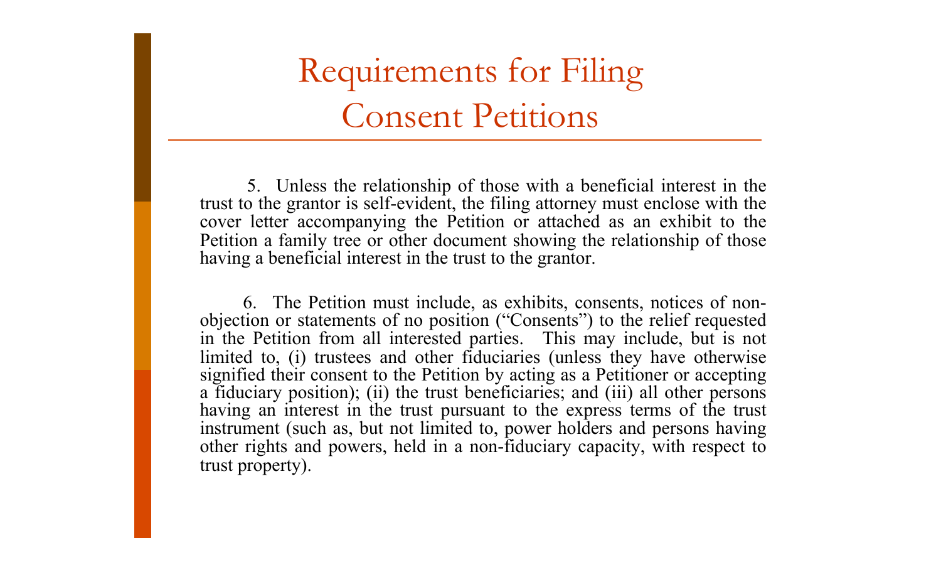5. Unless the relationship of those with a beneficial interest in the trust to the grantor is self-evident, the filing attorney must enclose with the cover letter accompanying the Petition or attached as an exhibit to the Petition a family tree or other document showing the relationship of those having a beneficial interest in the trust to the grantor.

6. The Petition must include, as exhibits, consents, notices of nonobjection or statements of no position ("Consents") to the relief requested in the Petition from all interested parties. This may include, but is not limited to, (i) trustees and other fiduciaries (unless they have otherwise signified their consent to the Petition by acting as a Petitioner or accepting a fiduciary position); (ii) the trust beneficiaries; and (iii) all other persons having an interest in the trust pursuant to the express terms of the trust instrument (such as, but not limited to, power holders and persons having other rights and powers, held in a non-fiduciary capacity, with respect to trust property).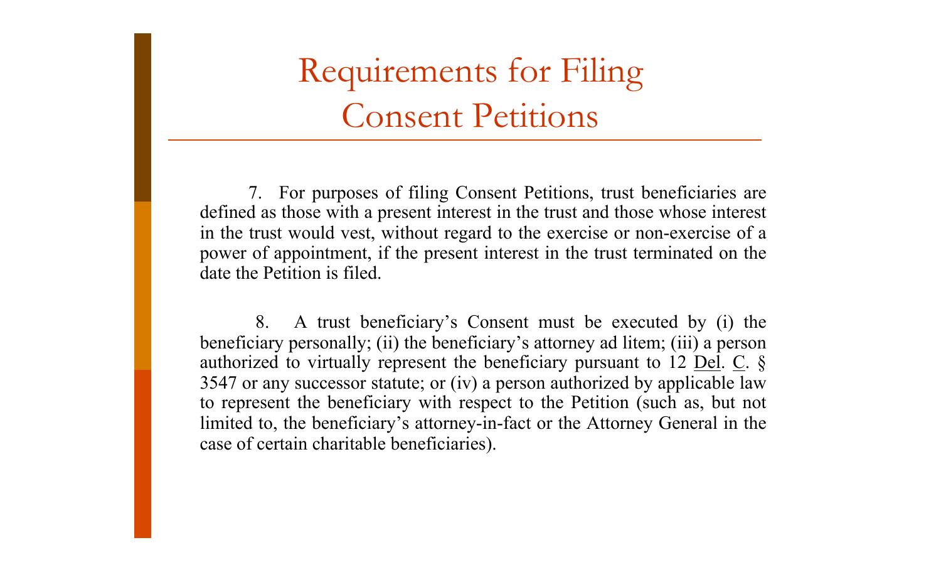7. For purposes of filing Consent Petitions, trust beneficiaries are defined as those with a present interest in the trust and those whose interest in the trust would vest, without regard to the exercise or non-exercise of a power of appointment, if the present interest in the trust terminated on the date the Petition is filed.

8. A trust beneficiary's Consent must be executed by (i) the beneficiary personally; (ii) the beneficiary's attorney ad litem; (iii) a person authorized to virtually represent the beneficiary pursuant to 12 Del.  $\overline{C}$ .  $\overline{\S}$ 3547 or any successor statute; or (iv) a person authorized by applicable law to represent the beneficiary with respect to the Petition (such as, but not limited to, the beneficiary's attorney-in-fact or the Attorney General in the case of certain charitable beneficiaries).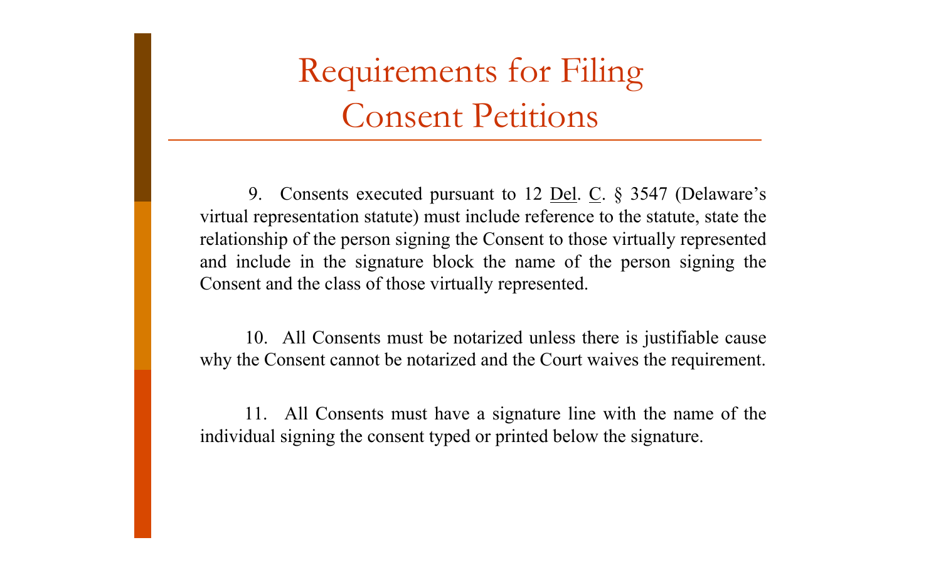9. Consents executed pursuant to 12 <u>Del</u>. C. § 3547 (Delaware's virtual representation statute) must include reference to the statute, state the relationship of the person signing the Consent to those virtually represented and include in the signature block the name of the person signing the Consent and the class of those virtually represented.

10. All Consents must be notarized unless there is justifiable cause why the Consent cannot be notarized and the Court waives the requirement.

11. All Consents must have a signature line with the name of the individual signing the consent typed or printed below the signature.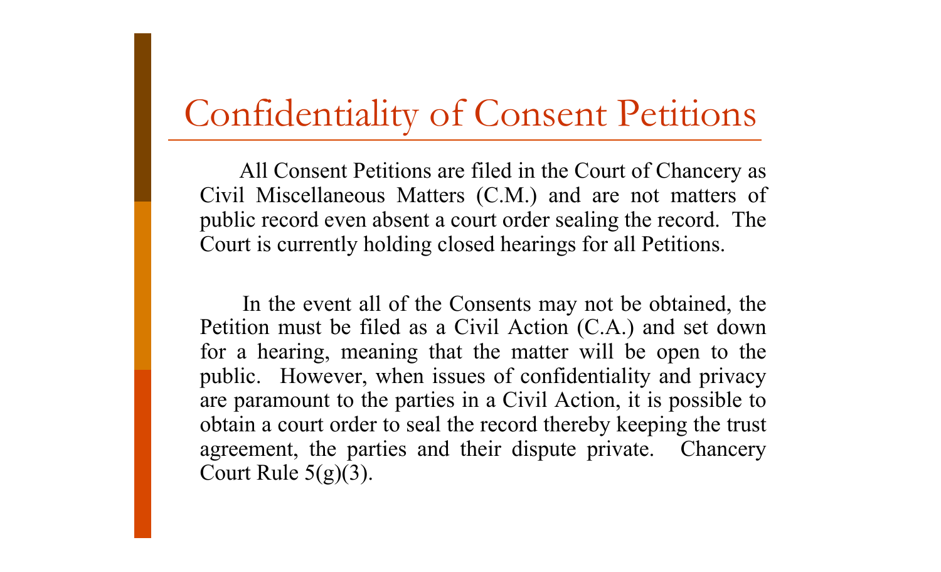#### Confidentiality of Consent Petitions

All Consent Petitions are filed in the Court of Chancery as Civil Miscellaneous Matters (C.M.) and are not matters of public record even absent a court order sealing the record. The Court is currently holding closed hearings for all Petitions.

In the event all of the Consents may not be obtained, the Petition must be filed as a Civil Action (C.A.) and set down for a hearing, meaning that the matter will be open to the public. However, when issues of confidentiality and privacy are paramount to the parties in a Civil Action, it is possible to obtain a court order to seal the record thereby keeping the trust agreement, the parties and their dispute private. Chancery Court Rule  $5(g)(3)$ .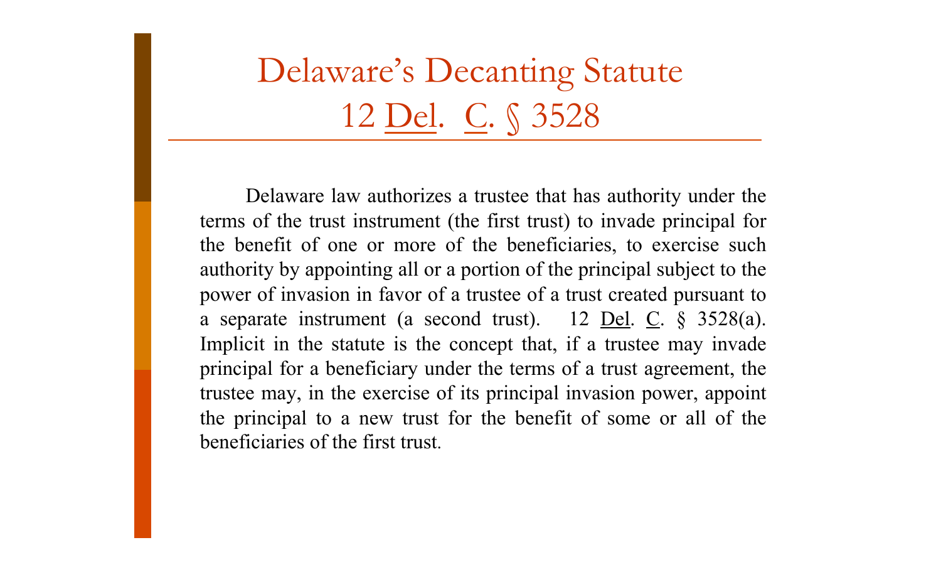Delaware's Decanting Statute 12 Del. C. § 3528

Delaware law authorizes a trustee that has authority under the terms of the trust instrument (the first trust) to invade principal for the benefit of one or more of the beneficiaries, to exercise such authority by appointing all or a portion of the principal subject to the power of invasion in favor of a trustee of a trust created pursuant to a separate instrument (a second trust). 12 <u>Del</u>. C.  $\S$  3528(a). Implicit in the statute is the concept that, if a trustee may invade principal for a beneficiary under the terms of a trust agreement, the trustee may, in the exercise of its principal invasion power, appoint the principal to a new trust for the benefit of some or all of the beneficiaries of the first trust.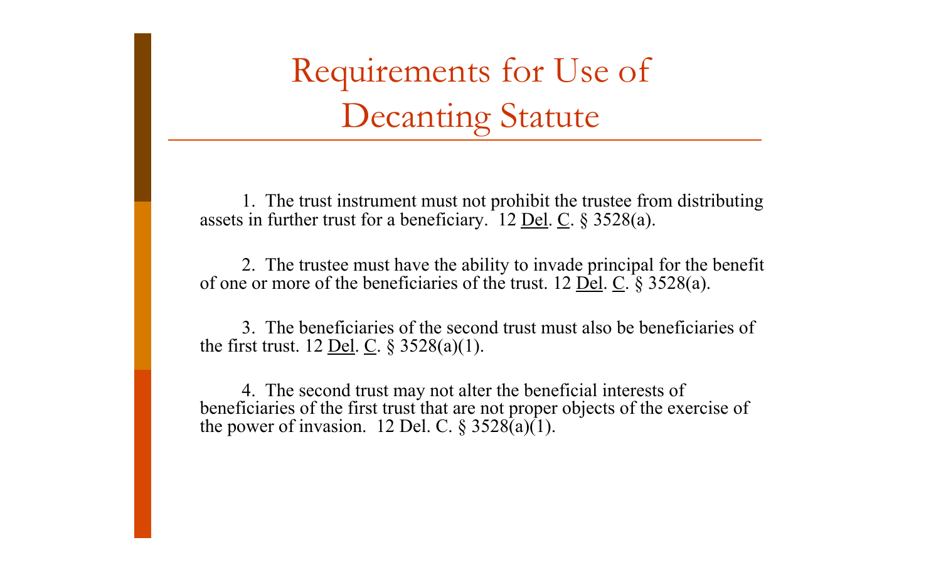Requirements for Use of Decanting Statute

1. The trust instrument must not prohibit the trustee from distributing assets in further trust for a beneficiary. 12 <u>Del</u>. C.  $\S$  3528(a).

2. The trustee must have the ability to invade principal for the benefit of one or more of the beneficiaries of the trust. 12  $\overrightarrow{Del}$ .  $\overrightarrow{C}$ . § 3528(a).

3. The beneficiaries of the second trust must also be beneficiaries of the first trust. 12 <u>Del</u>. C.  $\S 3528(a)(1)$ .

4. The second trust may not alter the beneficial interests of beneficiaries of the first trust that are not proper objects of the exercise of the power of invasion. 12 Del. C.  $\S 3528(a)(1)$ .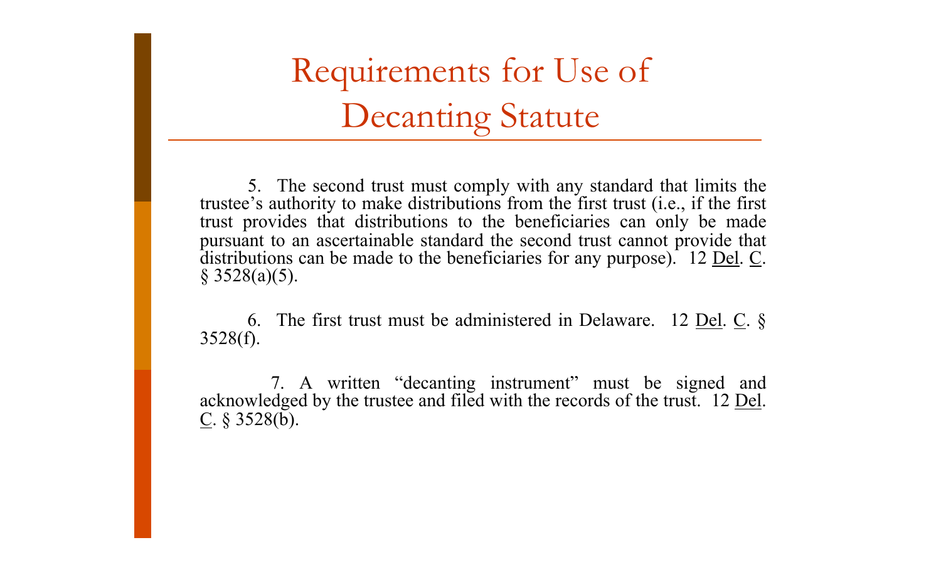Requirements for Use of Decanting Statute

5. The second trust must comply with any standard that limits the trustee's authority to make distributions from the first trust (i.e., if the first trust provides that distributions to the beneficiaries can only be made pursuant to an ascertainable standard the second trust cannot provide that distributions can be made to the beneficiaries for any purpose). 12 <u>Del</u>. C. § 3528(a)(5).

6. The first trust must be administered in Delaware. 12 <u>Del</u>.  $C$ .  $\S$ 3528(f).

7. A written "decanting instrument" must be signed and acknowledged by the trustee and filed with the records of the trust. 12 <u>Del</u>.  $\underline{C}$ . § 3528(b).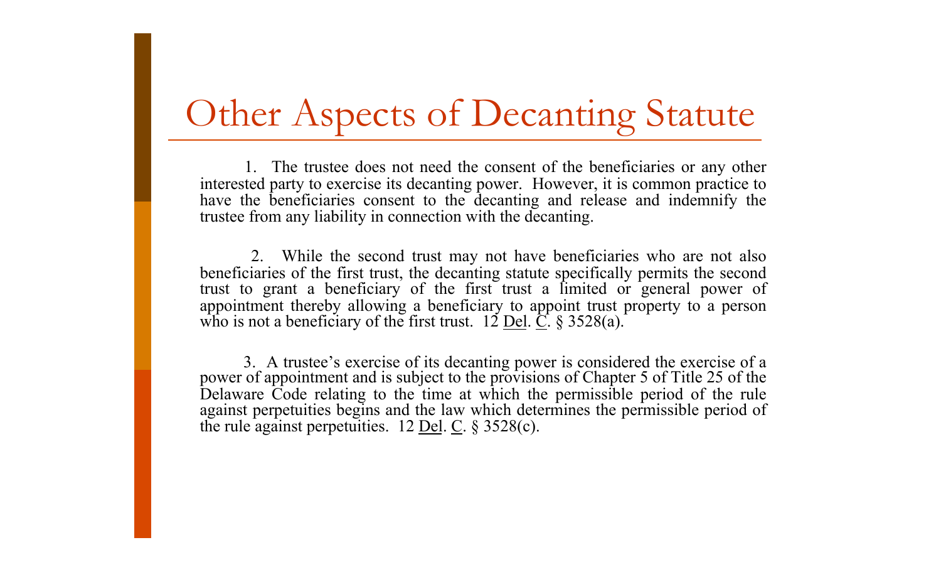#### Other Aspects of Decanting Statute

1. The trustee does not need the consent of the beneficiaries or any other interested party to exercise its decanting power. However, it is common practice to have the beneficiaries consent to the decanting and release and indemnify the trustee from any liability in connection with the decanting.

2. While the second trust may not have beneficiaries who are not also beneficiaries of the first trust, the decanting statute specifically permits the second trust to grant a beneficiary of the first trust a limited or general power of appointment thereby allowing a beneficiary to appoint trust property to a person who is not a beneficiary of the first trust.  $12 \underline{\text{Del}}$ .  $\underline{\text{C}}$ . § 3528(a).

3. A trustee's exercise of its decanting power is considered the exercise of a power of appointment and is subject to the provisions of Chapter 5 of Title 25 of the Delaware Code relating to the time at which the permissible period of the rule against perpetuities begins and the law which determines the permissible period of the rule against perpetuities.  $12$  Del. C. § 3528(c).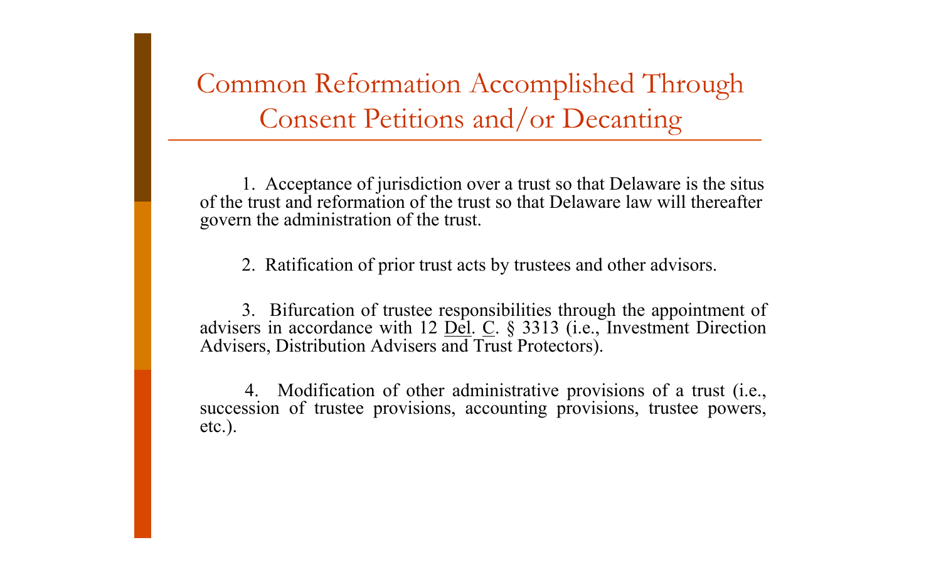Common Reformation Accomplished Through Consent Petitions and/or Decanting

1. Acceptance of jurisdiction over a trust so that Delaware is the situs of the trust and reformation of the trust so that Delaware law will thereafter govern the administration of the trust.

2. Ratification of prior trust acts by trustees and other advisors.

3. Bifurcation of trustee responsibilities through the appointment of advisers in accordance with 12  $\underline{Del}$ .  $\underline{C}$ . § 3313 (i.e., Investment Direction Advisers, Distribution Advisers and Trust Protectors).

4. Modification of other administrative provisions of a trust (i.e., succession of trustee provisions, accounting provisions, trustee powers, etc.).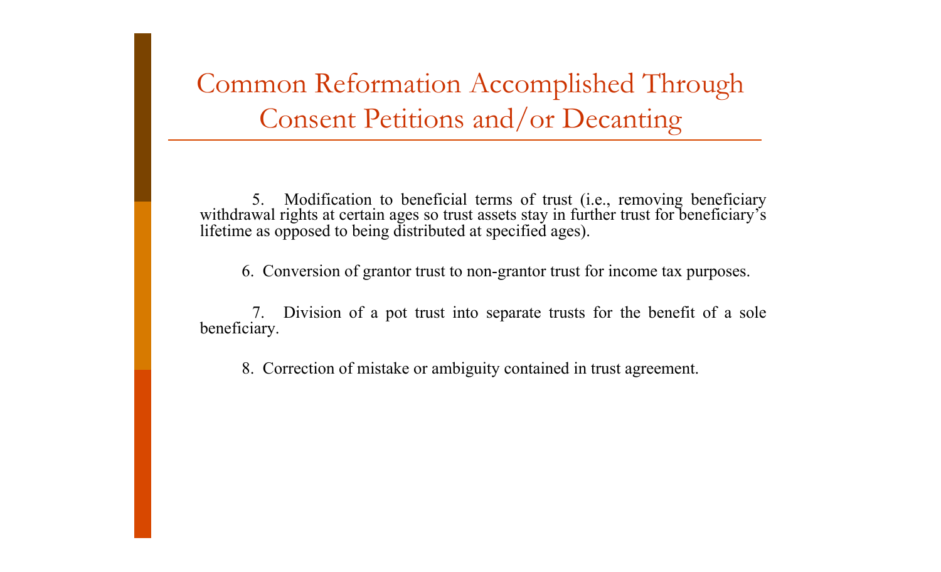Common Reformation Accomplished Through Consent Petitions and/or Decanting

5. Modification to beneficial terms of trust (i.e., removing beneficiary withdrawal rights at certain ages so trust assets stay in further trust for beneficiary's lifetime as opposed to being distributed at specified ages).

6. Conversion of grantor trust to non-grantor trust for income tax purposes.

7. Division of a pot trust into separate trusts for the benefit of a sole beneficiary.

8. Correction of mistake or ambiguity contained in trust agreement.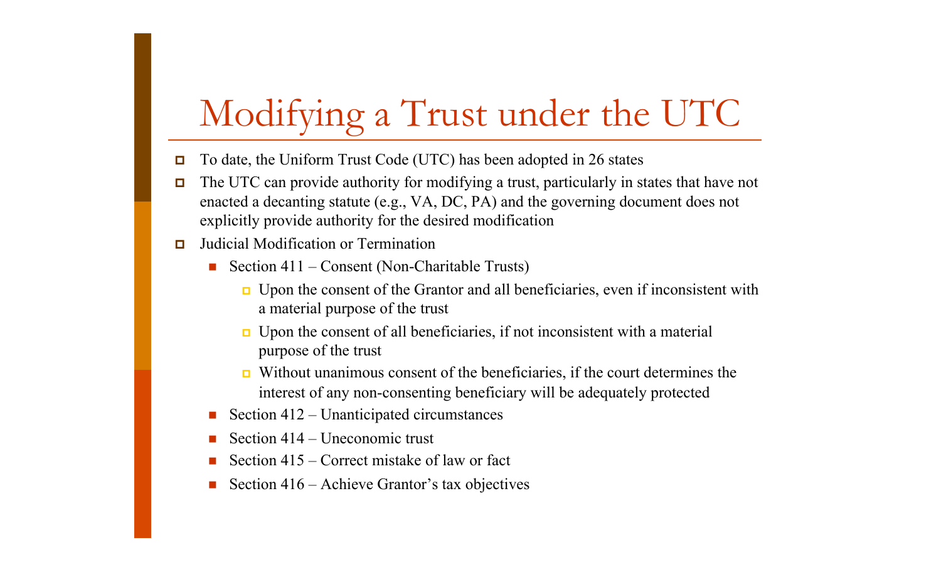# Modifying a Trust under the UTC

- $\Box$  To date, the Uniform Trust Code (UTC) has been adopted in 26 states
- The UTC can provide authority for modifying a trust, particularly in states that have not enacted a decanting statute (e.g., VA, DC, PA) and the governing document does not explicitly provide authority for the desired modification
- $\Box$  Judicial Modification or Termination
	- Section  $411$  Consent (Non-Charitable Trusts)
		- Upon the consent of the Grantor and all beneficiaries, even if inconsistent with a material purpose of the trust
		- $\Box$  Upon the consent of all beneficiaries, if not inconsistent with a material purpose of the trust
		- Without unanimous consent of the beneficiaries, if the court determines the interest of any non-consenting beneficiary will be adequately protected
	- Section 412 Unanticipated circumstances
	- Section 414 Uneconomic trust
	- Section 415 Correct mistake of law or fact
	- Section 416 Achieve Grantor's tax objectives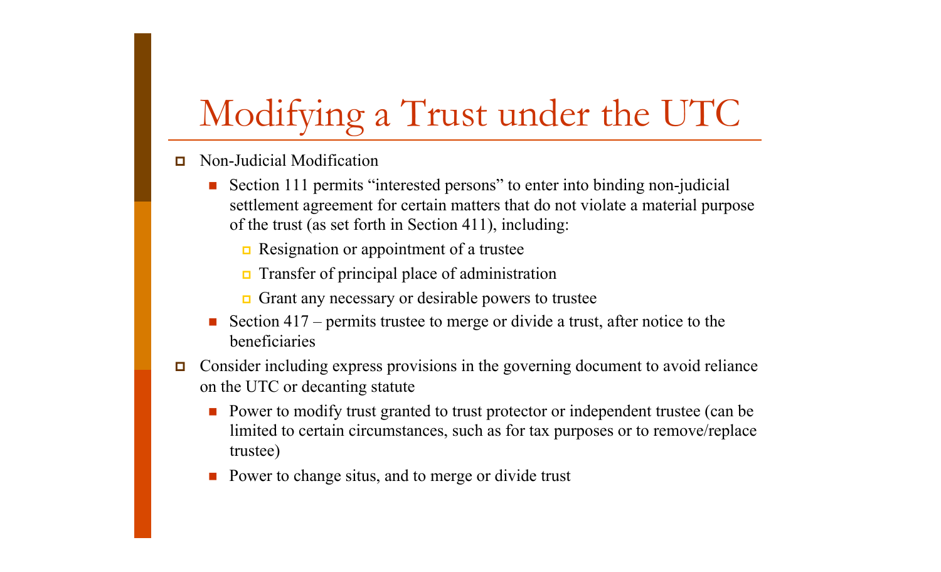# Modifying a Trust under the UTC

- Non-Judicial Modification
	- Section 111 permits "interested persons" to enter into binding non-judicial settlement agreement for certain matters that do not violate a material purpose of the trust (as set forth in Section 411), including:
		- Resignation or appointment of a trustee
		- $\Box$  Transfer of principal place of administration
		- Grant any necessary or desirable powers to trustee
	- Section 417 permits trustee to merge or divide a trust, after notice to the beneficiaries
- Consider including express provisions in the governing document to avoid reliance on the UTC or decanting statute
	- Power to modify trust granted to trust protector or independent trustee (can be limited to certain circumstances, such as for tax purposes or to remove/replace trustee)
	- **Power to change situs, and to merge or divide trust**